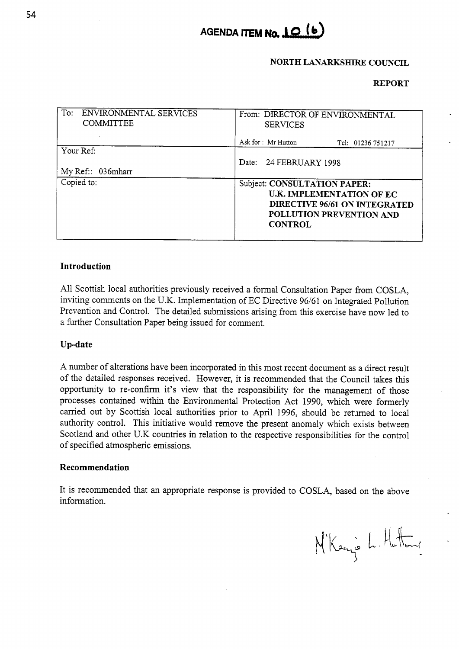

## **NORTH LANARKSHIRE COUNCIL**

## **REPORT**

| To:<br>ENVIRONMENTAL SERVICES<br><b>COMMITTEE</b> | From: DIRECTOR OF ENVIRONMENTAL<br><b>SERVICES</b>                                                                                              |  |  |
|---------------------------------------------------|-------------------------------------------------------------------------------------------------------------------------------------------------|--|--|
|                                                   | Ask for : Mr Hutton<br>Tel: 01236 751217                                                                                                        |  |  |
| Your Ref:                                         |                                                                                                                                                 |  |  |
| My Ref:: 036mharr                                 | Date: 24 FEBRUARY 1998                                                                                                                          |  |  |
| Copied to:                                        | Subject: CONSULTATION PAPER:<br>U.K. IMPLEMENTATION OF EC<br><b>DIRECTIVE 96/61 ON INTEGRATED</b><br>POLLUTION PREVENTION AND<br><b>CONTROL</b> |  |  |

## **Introduction**

All Scottish local authorities previously received a formal Consultation Paper from COSLA, inviting comments on the U.K. Implementation of EC Directive 96/61 on Integrated Pollution Prevention and Control. The detailed submissions arising from this exercise have now led to a further Consultation Paper being issued for comment.

## **Up-date**

A number of alterations have been incorporated in this most recent document as a direct result of the detailed responses received. However, it is recommended that the Council takes this opportunity to re-confirm it's view that the responsibility for the management of those processes contained within the Environmental Protection Act 1990, which were formerly carried out by Scottish local authorities prior to April 1996, should be returned to local authority control. This initiative would remove the present anomaly which exists between Scotland and other U.K countries in relation to the respective responsibilities for the control of specified atmospheric emissions.

#### **Recommendation**

It is recommended that an appropriate response is provided to COSLA, based on the above information.

M'Kenzo L. Hattang